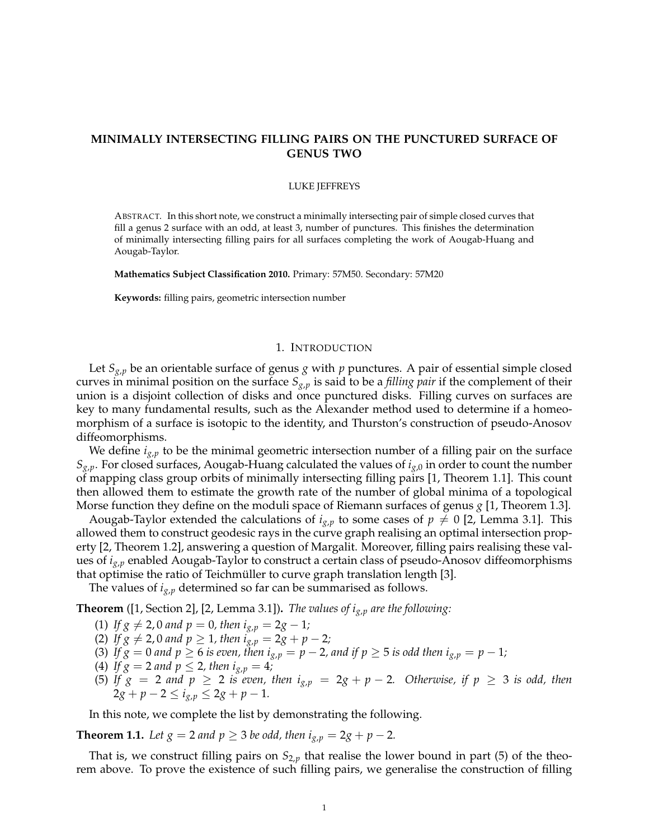# **MINIMALLY INTERSECTING FILLING PAIRS ON THE PUNCTURED SURFACE OF GENUS TWO**

#### LUKE JEFFREYS

ABSTRACT. In this short note, we construct a minimally intersecting pair of simple closed curves that fill a genus 2 surface with an odd, at least 3, number of punctures. This finishes the determination of minimally intersecting filling pairs for all surfaces completing the work of Aougab-Huang and Aougab-Taylor.

**Mathematics Subject Classification 2010.** Primary: 57M50. Secondary: 57M20

**Keywords:** filling pairs, geometric intersection number

### 1. INTRODUCTION

Let  $S_{g,p}$  be an orientable surface of genus *g* with *p* punctures. A pair of essential simple closed curves in minimal position on the surface *Sg*,*<sup>p</sup>* is said to be a *filling pair* if the complement of their union is a disjoint collection of disks and once punctured disks. Filling curves on surfaces are key to many fundamental results, such as the Alexander method used to determine if a homeomorphism of a surface is isotopic to the identity, and Thurston's construction of pseudo-Anosov diffeomorphisms.

We define *ig*,*<sup>p</sup>* to be the minimal geometric intersection number of a filling pair on the surface  $S_{g,p}$ . For closed surfaces, Aougab-Huang calculated the values of  $i_{g,0}$  in order to count the number of mapping class group orbits of minimally intersecting filling pairs [1, Theorem 1.1]. This count then allowed them to estimate the growth rate of the number of global minima of a topological Morse function they define on the moduli space of Riemann surfaces of genus *g* [1, Theorem 1.3].

Aougab-Taylor extended the calculations of  $i_{g,p}$  to some cases of  $p \neq 0$  [2, Lemma 3.1]. This allowed them to construct geodesic rays in the curve graph realising an optimal intersection property [2, Theorem 1.2], answering a question of Margalit. Moreover, filling pairs realising these values of *ig*,*<sup>p</sup>* enabled Aougab-Taylor to construct a certain class of pseudo-Anosov diffeomorphisms that optimise the ratio of Teichmüller to curve graph translation length [3].

The values of  $i_{g,p}$  determined so far can be summarised as follows.

**Theorem** ([1, Section 2], [2, Lemma 3.1])**.** *The values of ig*,*<sup>p</sup> are the following:*

- (1) *If*  $g \neq 2$ , 0 *and*  $p = 0$ , *then*  $i_{g,p} = 2g 1$ ;
- (2) *If*  $g \neq 2$ , 0 *and*  $p \geq 1$ *, then*  $i_{g,p} = 2g + p 2$ *;*
- (3) If  $g = 0$  and  $p \ge 6$  *is even, then*  $i_{g,p} = p 2$ *, and if*  $p \ge 5$  *is odd then*  $i_{g,p} = p 1$ *;*
- (4) If  $g = 2$  and  $p \le 2$ , then  $i_{g,p} = 4$ ;
- (5) If  $g = 2$  and  $p \ge 2$  *is even, then*  $i_{g,p} = 2g + p 2$ . Otherwise, if  $p \ge 3$  *is odd, then*  $2g + p - 2 \le i_{g,p} \le 2g + p - 1.$

In this note, we complete the list by demonstrating the following.

**Theorem 1.1.** *Let*  $g = 2$  *and*  $p \ge 3$  *be odd, then*  $i_{g,p} = 2g + p - 2$ *.* 

That is, we construct filling pairs on  $S_{2,p}$  that realise the lower bound in part (5) of the theorem above. To prove the existence of such filling pairs, we generalise the construction of filling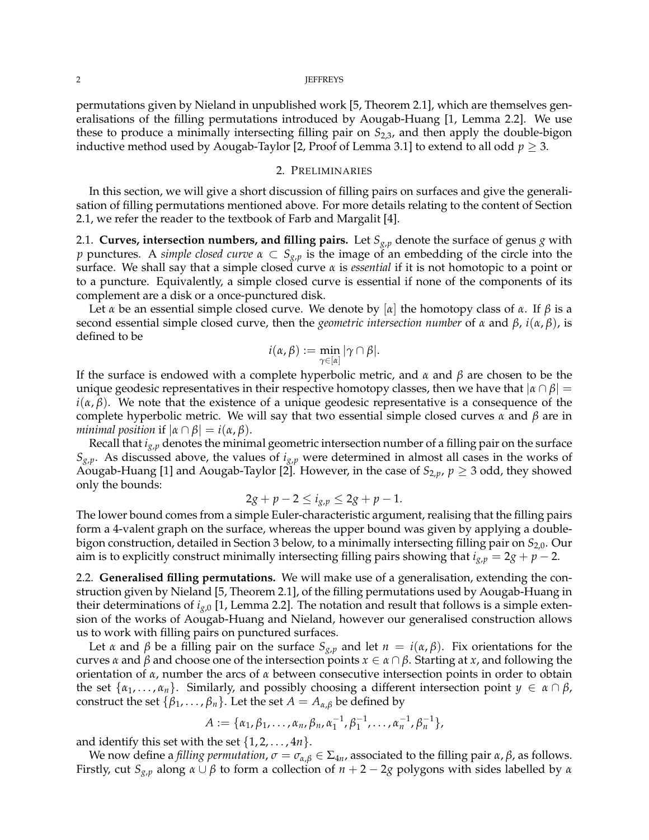#### 2 **JEFFREYS**

permutations given by Nieland in unpublished work [5, Theorem 2.1], which are themselves generalisations of the filling permutations introduced by Aougab-Huang [1, Lemma 2.2]. We use these to produce a minimally intersecting filling pair on *S*2,3, and then apply the double-bigon inductive method used by Aougab-Taylor [2, Proof of Lemma 3.1] to extend to all odd  $p \geq 3$ .

### 2. PRELIMINARIES

In this section, we will give a short discussion of filling pairs on surfaces and give the generalisation of filling permutations mentioned above. For more details relating to the content of Section 2.1, we refer the reader to the textbook of Farb and Margalit [4].

2.1. **Curves, intersection numbers, and filling pairs.** Let *Sg*,*<sup>p</sup>* denote the surface of genus *g* with *p* punctures. A *simple closed curve α* ⊂ *Sg*,*<sup>p</sup>* is the image of an embedding of the circle into the surface. We shall say that a simple closed curve *α* is *essential* if it is not homotopic to a point or to a puncture. Equivalently, a simple closed curve is essential if none of the components of its complement are a disk or a once-punctured disk.

Let *α* be an essential simple closed curve. We denote by  $\alpha$  the homotopy class of *α*. If *β* is a second essential simple closed curve, then the *geometric intersection number* of *α* and *β*, *i*(*α*, *β*), is defined to be

$$
i(\alpha,\beta):=\min_{\gamma\in[\alpha]}|\gamma\cap\beta|.
$$

If the surface is endowed with a complete hyperbolic metric, and *α* and *β* are chosen to be the unique geodesic representatives in their respective homotopy classes, then we have that |*α* ∩ *β*| =  $i(\alpha, \beta)$ . We note that the existence of a unique geodesic representative is a consequence of the complete hyperbolic metric. We will say that two essential simple closed curves *α* and *β* are in *minimal position* if  $|\alpha \cap \beta| = i(\alpha, \beta)$ .

Recall that *ig*,*<sup>p</sup>* denotes the minimal geometric intersection number of a filling pair on the surface  $S_{g,p}$ . As discussed above, the values of  $i_{g,p}$  were determined in almost all cases in the works of Aougab-Huang [1] and Aougab-Taylor [2]. However, in the case of  $S_{2,p}$ ,  $p \geq 3$  odd, they showed only the bounds:

$$
2g + p - 2 \le i_{g,p} \le 2g + p - 1.
$$

The lower bound comes from a simple Euler-characteristic argument, realising that the filling pairs form a 4-valent graph on the surface, whereas the upper bound was given by applying a doublebigon construction, detailed in Section 3 below, to a minimally intersecting filling pair on *S*2,0. Our aim is to explicitly construct minimally intersecting filling pairs showing that  $i_{g,p} = 2g + p - 2$ .

2.2. **Generalised filling permutations.** We will make use of a generalisation, extending the construction given by Nieland [5, Theorem 2.1], of the filling permutations used by Aougab-Huang in their determinations of  $i_{g,0}$  [1, Lemma 2.2]. The notation and result that follows is a simple extension of the works of Aougab-Huang and Nieland, however our generalised construction allows us to work with filling pairs on punctured surfaces.

Let *α* and *β* be a filling pair on the surface  $S_{g,p}$  and let  $n = i(\alpha, \beta)$ . Fix orientations for the curves *α* and *β* and choose one of the intersection points *x* ∈ *α* ∩ *β*. Starting at *x*, and following the orientation of *α*, number the arcs of *α* between consecutive intersection points in order to obtain the set  $\{\alpha_1, \ldots, \alpha_n\}$ . Similarly, and possibly choosing a different intersection point  $y \in \alpha \cap \beta$ , construct the set  $\{\beta_1, \ldots, \beta_n\}$ . Let the set  $A = A_{\alpha,\beta}$  be defined by

$$
A := \{\alpha_1, \beta_1, \ldots, \alpha_n, \beta_n, \alpha_1^{-1}, \beta_1^{-1}, \ldots, \alpha_n^{-1}, \beta_n^{-1}\},\
$$

and identify this set with the set  $\{1, 2, \ldots, 4n\}$ .

We now define a *filling permutation*,  $\sigma = \sigma_{\alpha,\beta} \in \Sigma_{4n}$ , associated to the filling pair  $\alpha$ ,  $\beta$ , as follows. Firstly, cut *Sg*,*<sup>p</sup>* along *α* ∪ *β* to form a collection of *n* + 2 − 2*g* polygons with sides labelled by *α*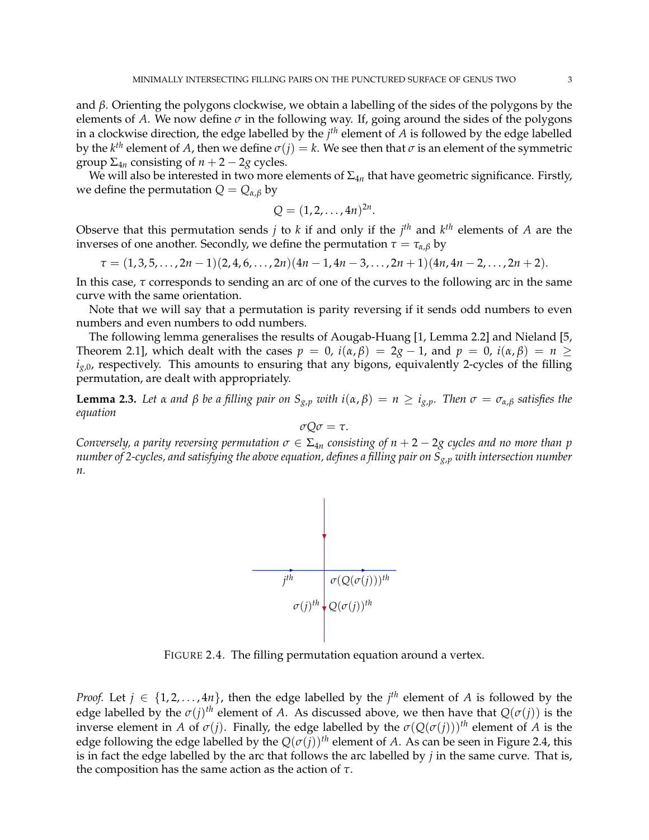and *β*. Orienting the polygons clockwise, we obtain a labelling of the sides of the polygons by the elements of *A*. We now define  $\sigma$  in the following way. If, going around the sides of the polygons in a clockwise direction, the edge labelled by the *j th* element of *A* is followed by the edge labelled by the  $k^{th}$  element of  $A$ , then we define  $\sigma(j)=k.$  We see then that  $\sigma$  is an element of the symmetric group  $\Sigma_{4n}$  consisting of  $n + 2 - 2g$  cycles.

We will also be interested in two more elements of  $\Sigma_{4n}$  that have geometric significance. Firstly, we define the permutation  $Q = Q_{\alpha,\beta}$  by

$$
Q = (1, 2, \ldots, 4n)^{2n}.
$$

Observe that this permutation sends *j* to *k* if and only if the *j th* and *k th* elements of *A* are the inverses of one another. Secondly, we define the permutation  $\tau = \tau_{\alpha,\beta}$  by

$$
\tau = (1,3,5,\ldots,2n-1)(2,4,6,\ldots,2n)(4n-1,4n-3,\ldots,2n+1)(4n,4n-2,\ldots,2n+2).
$$

In this case, *τ* corresponds to sending an arc of one of the curves to the following arc in the same curve with the same orientation.

Note that we will say that a permutation is parity reversing if it sends odd numbers to even numbers and even numbers to odd numbers.

The following lemma generalises the results of Aougab-Huang [1, Lemma 2.2] and Nieland [5, Theorem 2.1], which dealt with the cases  $p = 0$ ,  $i(\alpha, \beta) = 2g - 1$ , and  $p = 0$ ,  $i(\alpha, \beta) = n \ge$  $i_{g,0}$ , respectively. This amounts to ensuring that any bigons, equivalently 2-cycles of the filling permutation, are dealt with appropriately.

**Lemma 2.3.** Let  $\alpha$  and  $\beta$  be a filling pair on  $S_{g,p}$  with  $i(\alpha, \beta) = n \ge i_{g,p}$ . Then  $\sigma = \sigma_{\alpha,\beta}$  satisfies the *equation*

$$
\sigma Q\sigma=\tau.
$$

*Conversely, a parity reversing permutation*  $\sigma \in \Sigma_{4n}$  *consisting of*  $n + 2 - 2g$  *cycles and no more than p number of 2-cycles, and satisfying the above equation, defines a filling pair on Sg*,*<sup>p</sup> with intersection number n.*



FIGURE 2.4. The filling permutation equation around a vertex.

*Proof.* Let  $j \in \{1, 2, ..., 4n\}$ , then the edge labelled by the  $j<sup>th</sup>$  element of *A* is followed by the edge labelled by the  $\sigma(j)^{th}$  element of *A*. As discussed above, we then have that  $Q(\sigma(j))$  is the inverse element in *A* of  $\sigma(j)$ . Finally, the edge labelled by the  $\sigma(Q(\sigma(j)))$ <sup>th</sup> element of *A* is the edge following the edge labelled by the  $Q(\sigma(i))$ <sup>th</sup> element of *A*. As can be seen in Figure 2.4, this is in fact the edge labelled by the arc that follows the arc labelled by *j* in the same curve. That is, the composition has the same action as the action of *τ*.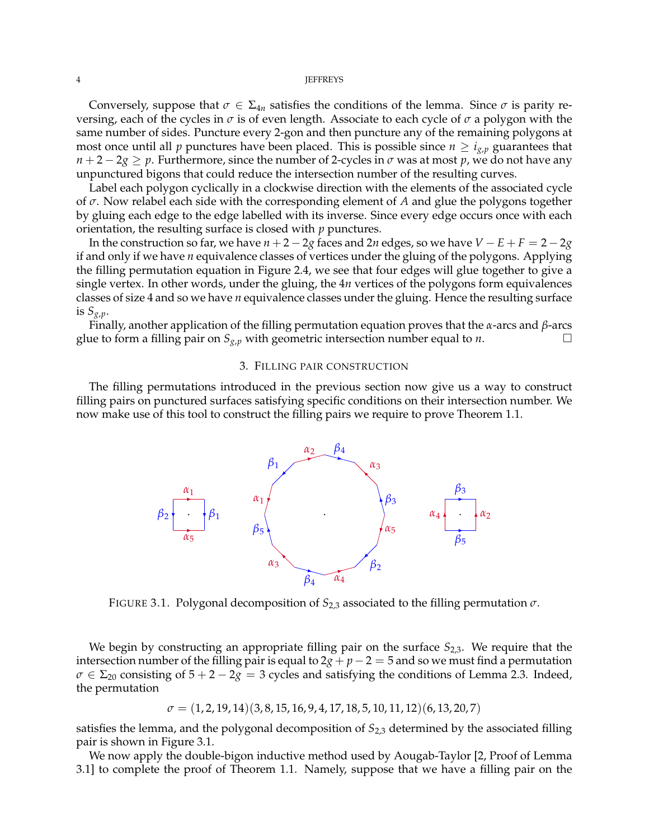#### 4 JEFFREYS

Conversely, suppose that  $\sigma \in \Sigma_{4n}$  satisfies the conditions of the lemma. Since  $\sigma$  is parity reversing, each of the cycles in *σ* is of even length. Associate to each cycle of *σ* a polygon with the same number of sides. Puncture every 2-gon and then puncture any of the remaining polygons at most once until all *p* punctures have been placed. This is possible since  $n \geq i_{g,p}$  guarantees that  $n+2-2g \geq p$ . Furthermore, since the number of 2-cycles in *σ* was at most *p*, we do not have any unpunctured bigons that could reduce the intersection number of the resulting curves.

Label each polygon cyclically in a clockwise direction with the elements of the associated cycle of *σ*. Now relabel each side with the corresponding element of *A* and glue the polygons together by gluing each edge to the edge labelled with its inverse. Since every edge occurs once with each orientation, the resulting surface is closed with *p* punctures.

In the construction so far, we have  $n + 2 - 2g$  faces and 2*n* edges, so we have  $V - E + F = 2 - 2g$ if and only if we have *n* equivalence classes of vertices under the gluing of the polygons. Applying the filling permutation equation in Figure 2.4, we see that four edges will glue together to give a single vertex. In other words, under the gluing, the 4*n* vertices of the polygons form equivalences classes of size 4 and so we have *n* equivalence classes under the gluing. Hence the resulting surface is  $S_{g,p}$ .

Finally, another application of the filling permutation equation proves that the *α*-arcs and *β*-arcs glue to form a filling pair on  $S_{g,p}$  with geometric intersection number equal to *n*.

## 3. FILLING PAIR CONSTRUCTION

The filling permutations introduced in the previous section now give us a way to construct filling pairs on punctured surfaces satisfying specific conditions on their intersection number. We now make use of this tool to construct the filling pairs we require to prove Theorem 1.1.



FIGURE 3.1. Polygonal decomposition of *S*2,3 associated to the filling permutation *σ*.

We begin by constructing an appropriate filling pair on the surface  $S_{2,3}$ . We require that the intersection number of the filling pair is equal to  $2g + p - 2 = 5$  and so we must find a permutation  $\sigma \in \Sigma_{20}$  consisting of  $5 + 2 - 2g = 3$  cycles and satisfying the conditions of Lemma 2.3. Indeed, the permutation

$$
\sigma=(1,2,19,14)(3,8,15,16,9,4,17,18,5,10,11,12)(6,13,20,7)
$$

satisfies the lemma, and the polygonal decomposition of *S*2,3 determined by the associated filling pair is shown in Figure 3.1.

We now apply the double-bigon inductive method used by Aougab-Taylor [2, Proof of Lemma 3.1] to complete the proof of Theorem 1.1. Namely, suppose that we have a filling pair on the